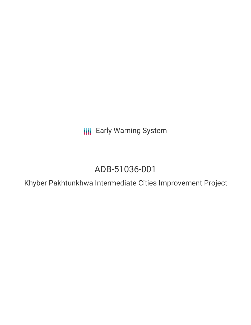**III** Early Warning System

## ADB-51036-001

Khyber Pakhtunkhwa Intermediate Cities Improvement Project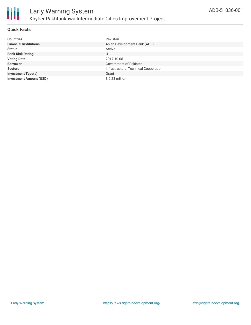

#### **Quick Facts**

| <b>Countries</b>               | Pakistan                              |
|--------------------------------|---------------------------------------|
| <b>Financial Institutions</b>  | Asian Development Bank (ADB)          |
| <b>Status</b>                  | Active                                |
| <b>Bank Risk Rating</b>        | U                                     |
| <b>Voting Date</b>             | 2017-10-05                            |
| <b>Borrower</b>                | Government of Pakistan                |
| <b>Sectors</b>                 | Infrastructure, Technical Cooperation |
| <b>Investment Type(s)</b>      | Grant                                 |
| <b>Investment Amount (USD)</b> | $$0.23$ million                       |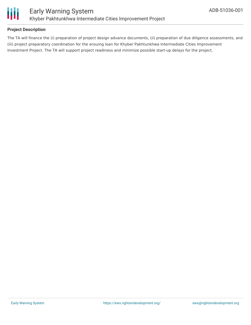

#### **Project Description**

The TA will finance the (i) preparation of project design advance documents, (ii) preparation of due diligence assessments, and (iii) project preparatory coordination for the ensuing loan for Khyber Pakhtunkhwa Intermediate Cities Improvement Investment Project. The TA will support project readiness and minimize possible start-up delays for the project.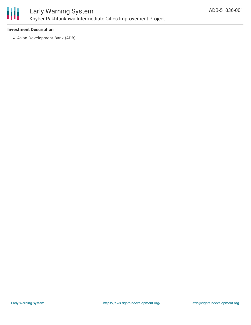

## Early Warning System Khyber Pakhtunkhwa Intermediate Cities Improvement Project

#### **Investment Description**

Asian Development Bank (ADB)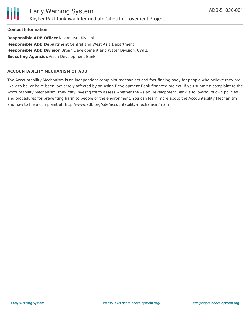

**Contact Information**

**Responsible ADB Officer** Nakamitsu, Kiyoshi **Responsible ADB Department** Central and West Asia Department **Responsible ADB Division** Urban Development and Water Division, CWRD **Executing Agencies** Asian Development Bank

#### **ACCOUNTABILITY MECHANISM OF ADB**

The Accountability Mechanism is an independent complaint mechanism and fact-finding body for people who believe they are likely to be, or have been, adversely affected by an Asian Development Bank-financed project. If you submit a complaint to the Accountability Mechanism, they may investigate to assess whether the Asian Development Bank is following its own policies and procedures for preventing harm to people or the environment. You can learn more about the Accountability Mechanism and how to file a complaint at: http://www.adb.org/site/accountability-mechanism/main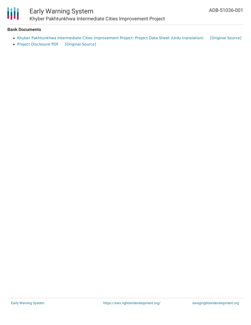

# Early Warning System

Khyber Pakhtunkhwa Intermediate Cities Improvement Project

#### **Bank Documents**

- Khyber Pakhtunkhwa Intermediate Cities [Improvement](https://ewsdata.rightsindevelopment.org/files/documents/01/ADB-51036-001_JvbGdLh.pdf) Project: Project Data Sheet (Urdu translation) [\[Original](https://www.adb.org/ur/projects/documents/pak-51036-001-pds) Source]
- Project [Disclosure](https://ewsdata.rightsindevelopment.org/files/documents/01/ADB-51036-001.pdf) PDF [\[Original](https://www.adb.org/printpdf/projects/51036-001/main) Source]